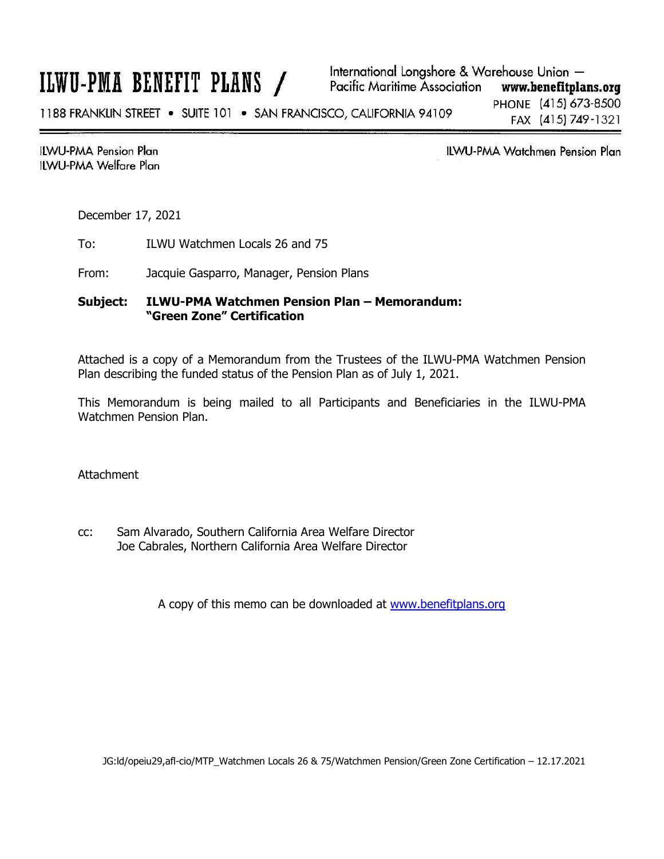# ILWU-PMA BENEFIT PLANS /

**ILWU-PMA Pension Plan ILWU-PMA Welfare Plan**  **ILWU-PMA Watchmen Pension Plan** 

December 17, 2021

To: ILWU Watchmen Locals 26 and 75

From: Jacquie Gasparro, Manager, Pension Plans

### **Subject: ILWU-PMA Watchmen Pension Plan – Memorandum: "Green Zone" Certification**

Attached is a copy of a Memorandum from the Trustees of the ILWU-PMA Watchmen Pension Plan describing the funded status of the Pension Plan as of July 1, 2021.

This Memorandum is being mailed to all Participants and Beneficiaries in the ILWU-PMA Watchmen Pension Plan.

Attachment

cc: Sam Alvarado, Southern California Area Welfare Director Joe Cabrales, Northern California Area Welfare Director

A copy of this memo can be downloaded at [www.benefitplans.org](http://www.benefitplans.org/)